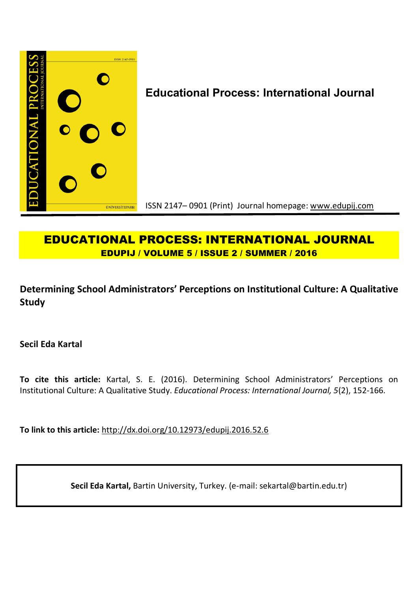

# **EDUCATIONAL PROCESS: INTERNATIONAL JOURNAL EDUPIJ / VOLUME 5 / ISSUE 2 / SUMMER / 2016**

**Determining School Administrators' Perceptions on Institutional Culture: A Qualitative Study**

**Secil Eda Kartal** 

**To cite this article:** Kartal, S. E. (2016). Determining School Administrators' Perceptions on Institutional Culture: A Qualitative Study. *Educational Process: International Journal, 5*(2), 152-166.

**To link to this article:** http://dx.doi.org/10.12973/edupij.2016.52.6

**Secil Eda Kartal,** Bartin University, Turkey. (e-mail: sekartal@bartin.edu.tr)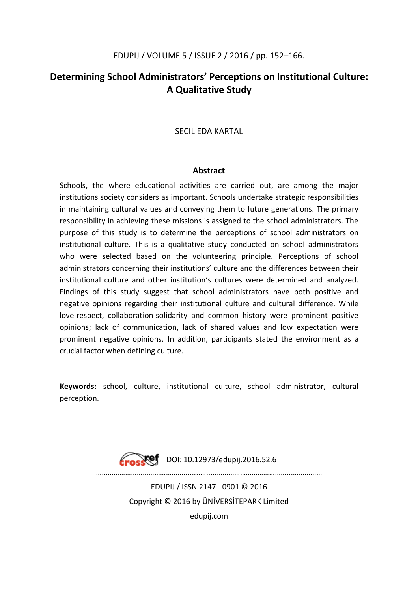# **Determining School Administrators' Perceptions on Institutional Culture: A Qualitative Study**

## SECIL EDA KARTAL

### **Abstract**

Schools, the where educational activities are carried out, are among the major institutions society considers as important. Schools undertake strategic responsibilities in maintaining cultural values and conveying them to future generations. The primary responsibility in achieving these missions is assigned to the school administrators. The purpose of this study is to determine the perceptions of school administrators on institutional culture. This is a qualitative study conducted on school administrators who were selected based on the volunteering principle. Perceptions of school administrators concerning their institutions' culture and the differences between their institutional culture and other institution's cultures were determined and analyzed. Findings of this study suggest that school administrators have both positive and negative opinions regarding their institutional culture and cultural difference. While love-respect, collaboration-solidarity and common history were prominent positive opinions; lack of communication, lack of shared values and low expectation were prominent negative opinions. In addition, participants stated the environment as a crucial factor when defining culture.

**Keywords:** school, culture, institutional culture, school administrator, cultural perception.

> $\sqrt{ref}$  DOI: 10.12973/edupij.2016.52.6 ………………………………………........….....………………………………...…………… EDUPIJ / ISSN 2147– 0901 © 2016 Copyright © 2016 by ÜNİVERSİTEPARK Limited edupij.com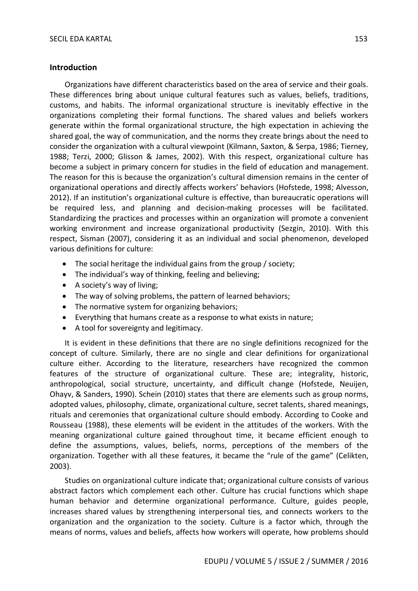#### **Introduction**

Organizations have different characteristics based on the area of service and their goals. These differences bring about unique cultural features such as values, beliefs, traditions, customs, and habits. The informal organizational structure is inevitably effective in the organizations completing their formal functions. The shared values and beliefs workers generate within the formal organizational structure, the high expectation in achieving the shared goal, the way of communication, and the norms they create brings about the need to consider the organization with a cultural viewpoint (Kilmann, Saxton, & Serpa, 1986; Tierney, 1988; Terzi, 2000; Glisson & James, 2002). With this respect, organizational culture has become a subject in primary concern for studies in the field of education and management. The reason for this is because the organization's cultural dimension remains in the center of organizational operations and directly affects workers' behaviors (Hofstede, 1998; Alvesson, 2012). If an institution's organizational culture is effective, than bureaucratic operations will be required less, and planning and decision-making processes will be facilitated. Standardizing the practices and processes within an organization will promote a convenient working environment and increase organizational productivity (Sezgin, 2010). With this respect, Sisman (2007), considering it as an individual and social phenomenon, developed various definitions for culture:

- The social heritage the individual gains from the group / society;
- The individual's way of thinking, feeling and believing;
- A society's way of living;
- The way of solving problems, the pattern of learned behaviors;
- The normative system for organizing behaviors;
- Everything that humans create as a response to what exists in nature;
- A tool for sovereignty and legitimacy.

It is evident in these definitions that there are no single definitions recognized for the concept of culture. Similarly, there are no single and clear definitions for organizational culture either. According to the literature, researchers have recognized the common features of the structure of organizational culture. These are; integrality, historic, anthropological, social structure, uncertainty, and difficult change (Hofstede, Neuijen, Ohayv, & Sanders, 1990). Schein (2010) states that there are elements such as group norms, adopted values, philosophy, climate, organizational culture, secret talents, shared meanings, rituals and ceremonies that organizational culture should embody. According to Cooke and Rousseau (1988), these elements will be evident in the attitudes of the workers. With the meaning organizational culture gained throughout time, it became efficient enough to define the assumptions, values, beliefs, norms, perceptions of the members of the organization. Together with all these features, it became the "rule of the game" (Celikten, 2003).

Studies on organizational culture indicate that; organizational culture consists of various abstract factors which complement each other. Culture has crucial functions which shape human behavior and determine organizational performance. Culture, guides people, increases shared values by strengthening interpersonal ties, and connects workers to the organization and the organization to the society. Culture is a factor which, through the means of norms, values and beliefs, affects how workers will operate, how problems should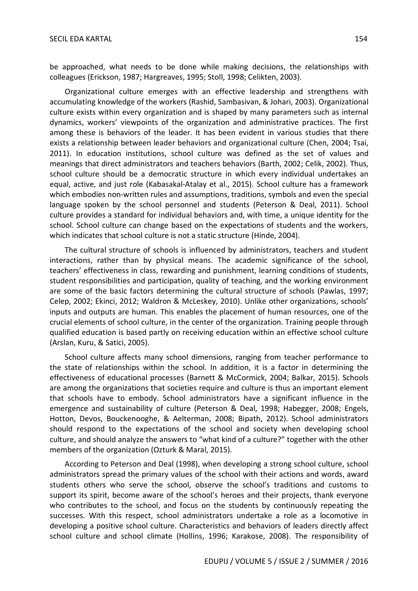be approached, what needs to be done while making decisions, the relationships with colleagues (Erickson, 1987; Hargreaves, 1995; Stoll, 1998; Celikten, 2003).

Organizational culture emerges with an effective leadership and strengthens with accumulating knowledge of the workers (Rashid, Sambasivan, & Johari, 2003). Organizational culture exists within every organization and is shaped by many parameters such as internal dynamics, workers' viewpoints of the organization and administrative practices. The first among these is behaviors of the leader. It has been evident in various studies that there exists a relationship between leader behaviors and organizational culture (Chen, 2004; Tsai, 2011). In education institutions, school culture was defined as the set of values and meanings that direct administrators and teachers behaviors (Barth, 2002; Celik, 2002). Thus, school culture should be a democratic structure in which every individual undertakes an equal, active, and just role (Kabasakal-Atalay et al., 2015). School culture has a framework which embodies non-written rules and assumptions, traditions, symbols and even the special language spoken by the school personnel and students (Peterson & Deal, 2011). School culture provides a standard for individual behaviors and, with time, a unique identity for the school. School culture can change based on the expectations of students and the workers, which indicates that school culture is not a static structure (Hinde, 2004).

The cultural structure of schools is influenced by administrators, teachers and student interactions, rather than by physical means. The academic significance of the school, teachers' effectiveness in class, rewarding and punishment, learning conditions of students, student responsibilities and participation, quality of teaching, and the working environment are some of the basic factors determining the cultural structure of schools (Pawlas, 1997; Celep, 2002; Ekinci, 2012; Waldron & McLeskey, 2010). Unlike other organizations, schools' inputs and outputs are human. This enables the placement of human resources, one of the crucial elements of school culture, in the center of the organization. Training people through qualified education is based partly on receiving education within an effective school culture (Arslan, Kuru, & Satici, 2005).

School culture affects many school dimensions, ranging from teacher performance to the state of relationships within the school. In addition, it is a factor in determining the effectiveness of educational processes (Barnett & McCormick, 2004; Balkar, 2015). Schools are among the organizations that societies require and culture is thus an important element that schools have to embody. School administrators have a significant influence in the emergence and sustainability of culture (Peterson & Deal, 1998; Habegger, 2008; Engels, Hotton, Devos, Bouckenooghe, & Aelterman, 2008; Bipath, 2012). School administrators should respond to the expectations of the school and society when developing school culture, and should analyze the answers to "what kind of a culture?" together with the other members of the organization (Ozturk & Maral, 2015).

According to Peterson and Deal (1998), when developing a strong school culture, school administrators spread the primary values of the school with their actions and words, award students others who serve the school, observe the school's traditions and customs to support its spirit, become aware of the school's heroes and their projects, thank everyone who contributes to the school, and focus on the students by continuously repeating the successes. With this respect, school administrators undertake a role as a locomotive in developing a positive school culture. Characteristics and behaviors of leaders directly affect school culture and school climate (Hollins, 1996; Karakose, 2008). The responsibility of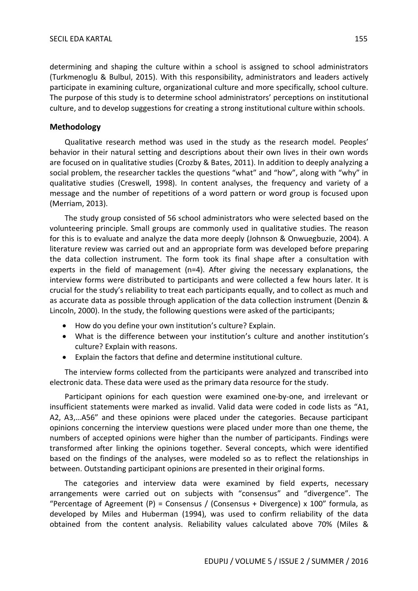determining and shaping the culture within a school is assigned to school administrators (Turkmenoglu & Bulbul, 2015). With this responsibility, administrators and leaders actively participate in examining culture, organizational culture and more specifically, school culture. The purpose of this study is to determine school administrators' perceptions on institutional culture, and to develop suggestions for creating a strong institutional culture within schools.

#### **Methodology**

Qualitative research method was used in the study as the research model. Peoples' behavior in their natural setting and descriptions about their own lives in their own words are focused on in qualitative studies (Crozby & Bates, 2011). In addition to deeply analyzing a social problem, the researcher tackles the questions "what" and "how", along with "why" in qualitative studies (Creswell, 1998). In content analyses, the frequency and variety of a message and the number of repetitions of a word pattern or word group is focused upon (Merriam, 2013).

The study group consisted of 56 school administrators who were selected based on the volunteering principle. Small groups are commonly used in qualitative studies. The reason for this is to evaluate and analyze the data more deeply (Johnson & Onwuegbuzie, 2004). A literature review was carried out and an appropriate form was developed before preparing the data collection instrument. The form took its final shape after a consultation with experts in the field of management (n=4). After giving the necessary explanations, the interview forms were distributed to participants and were collected a few hours later. It is crucial for the study's reliability to treat each participants equally, and to collect as much and as accurate data as possible through application of the data collection instrument (Denzin & Lincoln, 2000). In the study, the following questions were asked of the participants;

- How do you define your own institution's culture? Explain.
- What is the difference between your institution's culture and another institution's culture? Explain with reasons.
- Explain the factors that define and determine institutional culture.

The interview forms collected from the participants were analyzed and transcribed into electronic data. These data were used as the primary data resource for the study.

Participant opinions for each question were examined one-by-one, and irrelevant or insufficient statements were marked as invalid. Valid data were coded in code lists as "A1, A2, A3,…A56" and these opinions were placed under the categories. Because participant opinions concerning the interview questions were placed under more than one theme, the numbers of accepted opinions were higher than the number of participants. Findings were transformed after linking the opinions together. Several concepts, which were identified based on the findings of the analyses, were modeled so as to reflect the relationships in between. Outstanding participant opinions are presented in their original forms.

The categories and interview data were examined by field experts, necessary arrangements were carried out on subjects with "consensus" and "divergence". The "Percentage of Agreement (P) = Consensus / (Consensus + Divergence) x 100" formula, as developed by Miles and Huberman (1994), was used to confirm reliability of the data obtained from the content analysis. Reliability values calculated above 70% (Miles &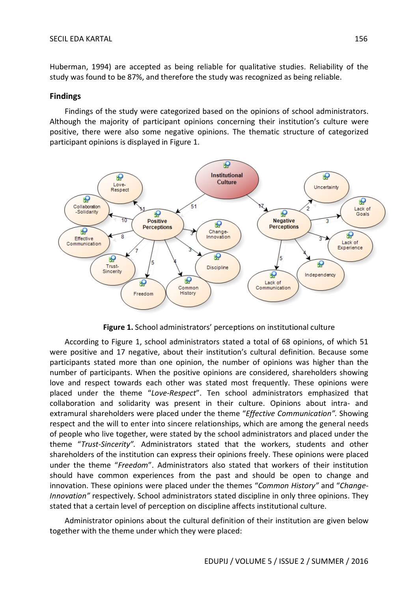Huberman, 1994) are accepted as being reliable for qualitative studies. Reliability of the study was found to be 87%, and therefore the study was recognized as being reliable.

# **Findings**

Findings of the study were categorized based on the opinions of school administrators. Although the majority of participant opinions concerning their institution's culture were positive, there were also some negative opinions. The thematic structure of categorized participant opinions is displayed in Figure 1.



**Figure 1.** School administrators' perceptions on institutional culture

According to Figure 1, school administrators stated a total of 68 opinions, of which 51 were positive and 17 negative, about their institution's cultural definition. Because some participants stated more than one opinion, the number of opinions was higher than the number of participants. When the positive opinions are considered, shareholders showing love and respect towards each other was stated most frequently. These opinions were placed under the theme "*Love-Respect*". Ten school administrators emphasized that collaboration and solidarity was present in their culture. Opinions about intra- and extramural shareholders were placed under the theme "*Effective Communication".* Showing respect and the will to enter into sincere relationships, which are among the general needs of people who live together, were stated by the school administrators and placed under the theme "*Trust-Sincerity".* Administrators stated that the workers, students and other shareholders of the institution can express their opinions freely. These opinions were placed under the theme "*Freedom*". Administrators also stated that workers of their institution should have common experiences from the past and should be open to change and innovation. These opinions were placed under the themes "*Common History"* and "*Change-Innovation"* respectively. School administrators stated discipline in only three opinions. They stated that a certain level of perception on discipline affects institutional culture.

Administrator opinions about the cultural definition of their institution are given below together with the theme under which they were placed: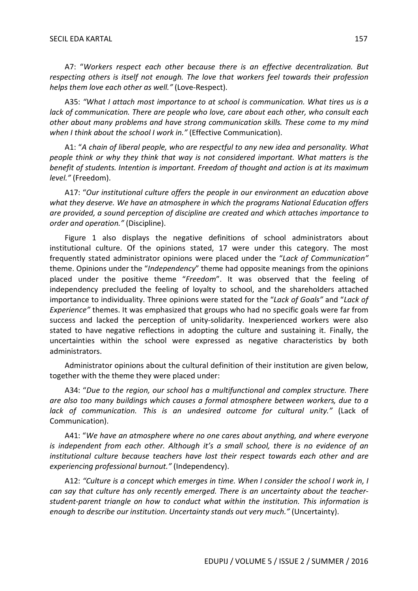A7: "*Workers respect each other because there is an effective decentralization. But respecting others is itself not enough. The love that workers feel towards their profession helps them love each other as well."* (Love-Respect).

A35: *"What I attach most importance to at school is communication. What tires us is a lack of communication. There are people who love, care about each other, who consult each other about many problems and have strong communication skills. These come to my mind when I think about the school I work in."* (Effective Communication).

A1: "*A chain of liberal people, who are respectful to any new idea and personality. What people think or why they think that way is not considered important. What matters is the benefit of students. Intention is important. Freedom of thought and action is at its maximum level."* (Freedom).

A17: "*Our institutional culture offers the people in our environment an education above what they deserve. We have an atmosphere in which the programs National Education offers are provided, a sound perception of discipline are created and which attaches importance to order and operation."* (Discipline).

Figure 1 also displays the negative definitions of school administrators about institutional culture. Of the opinions stated, 17 were under this category. The most frequently stated administrator opinions were placed under the "*Lack of Communication"*  theme. Opinions under the "*Independency*" theme had opposite meanings from the opinions placed under the positive theme "*Freedom*". It was observed that the feeling of independency precluded the feeling of loyalty to school, and the shareholders attached importance to individuality. Three opinions were stated for the "*Lack of Goals"* and "*Lack of Experience"* themes. It was emphasized that groups who had no specific goals were far from success and lacked the perception of unity-solidarity. Inexperienced workers were also stated to have negative reflections in adopting the culture and sustaining it. Finally, the uncertainties within the school were expressed as negative characteristics by both administrators.

Administrator opinions about the cultural definition of their institution are given below, together with the theme they were placed under:

A34: "*Due to the region, our school has a multifunctional and complex structure. There are also too many buildings which causes a formal atmosphere between workers, due to a lack of communication. This is an undesired outcome for cultural unity."* (Lack of Communication).

A41: "*We have an atmosphere where no one cares about anything, and where everyone is independent from each other. Although it's a small school, there is no evidence of an institutional culture because teachers have lost their respect towards each other and are experiencing professional burnout."* (Independency).

A12: *"Culture is a concept which emerges in time. When I consider the school I work in, I can say that culture has only recently emerged. There is an uncertainty about the teacherstudent-parent triangle on how to conduct what within the institution. This information is enough to describe our institution. Uncertainty stands out very much."* (Uncertainty).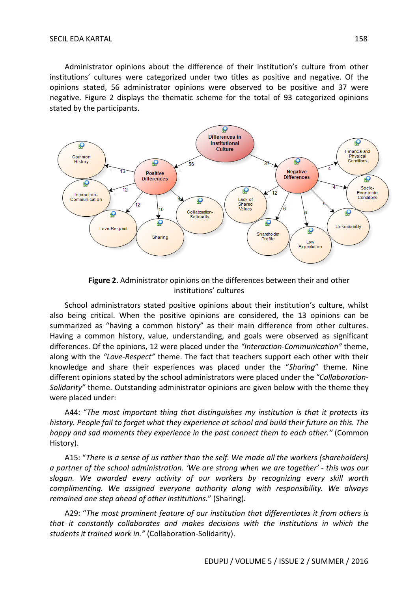Administrator opinions about the difference of their institution's culture from other institutions' cultures were categorized under two titles as positive and negative. Of the opinions stated, 56 administrator opinions were observed to be positive and 37 were negative. Figure 2 displays the thematic scheme for the total of 93 categorized opinions stated by the participants.



**Figure 2.** Administrator opinions on the differences between their and other institutions' cultures

School administrators stated positive opinions about their institution's culture, whilst also being critical. When the positive opinions are considered, the 13 opinions can be summarized as "having a common history" as their main difference from other cultures. Having a common history, value, understanding, and goals were observed as significant differences. Of the opinions, 12 were placed under the *"Interaction-Communication"* theme, along with the *"Love-Respect"* theme. The fact that teachers support each other with their knowledge and share their experiences was placed under the "*Sharing*" theme. Nine different opinions stated by the school administrators were placed under the "*Collaboration-Solidarity"* theme. Outstanding administrator opinions are given below with the theme they were placed under:

A44: "*The most important thing that distinguishes my institution is that it protects its history. People fail to forget what they experience at school and build their future on this. The happy and sad moments they experience in the past connect them to each other."* (Common History).

A15: "*There is a sense of us rather than the self. We made all the workers (shareholders) a partner of the school administration. 'We are strong when we are together' - this was our slogan. We awarded every activity of our workers by recognizing every skill worth complimenting. We assigned everyone authority along with responsibility. We always remained one step ahead of other institutions.*" (Sharing)*.*

A29: "*The most prominent feature of our institution that differentiates it from others is that it constantly collaborates and makes decisions with the institutions in which the students it trained work in."* (Collaboration-Solidarity).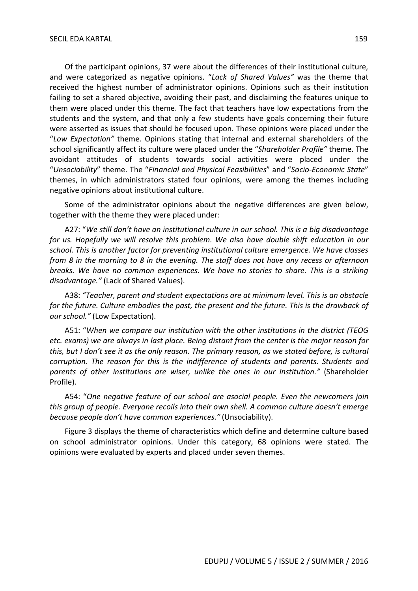Of the participant opinions, 37 were about the differences of their institutional culture, and were categorized as negative opinions. "*Lack of Shared Values"* was the theme that received the highest number of administrator opinions. Opinions such as their institution failing to set a shared objective, avoiding their past, and disclaiming the features unique to them were placed under this theme. The fact that teachers have low expectations from the students and the system, and that only a few students have goals concerning their future were asserted as issues that should be focused upon. These opinions were placed under the "*Low Expectation"* theme. Opinions stating that internal and external shareholders of the school significantly affect its culture were placed under the "*Shareholder Profile"* theme. The avoidant attitudes of students towards social activities were placed under the "*Unsociability*" theme. The "*Financial and Physical Feasibilities*" and "*Socio-Economic State*" themes, in which administrators stated four opinions, were among the themes including negative opinions about institutional culture.

Some of the administrator opinions about the negative differences are given below, together with the theme they were placed under:

A27: "*We still don't have an institutional culture in our school. This is a big disadvantage for us. Hopefully we will resolve this problem. We also have double shift education in our school. This is another factor for preventing institutional culture emergence. We have classes from 8 in the morning to 8 in the evening. The staff does not have any recess or afternoon breaks. We have no common experiences. We have no stories to share. This is a striking disadvantage."* (Lack of Shared Values).

A38: *"Teacher, parent and student expectations are at minimum level. This is an obstacle for the future. Culture embodies the past, the present and the future. This is the drawback of our school."* (Low Expectation).

A51: "*When we compare our institution with the other institutions in the district (TEOG etc. exams) we are always in last place. Being distant from the center is the major reason for this, but I don't see it as the only reason. The primary reason, as we stated before, is cultural corruption. The reason for this is the indifference of students and parents. Students and parents of other institutions are wiser, unlike the ones in our institution."* (Shareholder Profile).

A54: "*One negative feature of our school are asocial people. Even the newcomers join this group of people. Everyone recoils into their own shell. A common culture doesn't emerge because people don't have common experiences."* (Unsociability).

Figure 3 displays the theme of characteristics which define and determine culture based on school administrator opinions. Under this category, 68 opinions were stated. The opinions were evaluated by experts and placed under seven themes.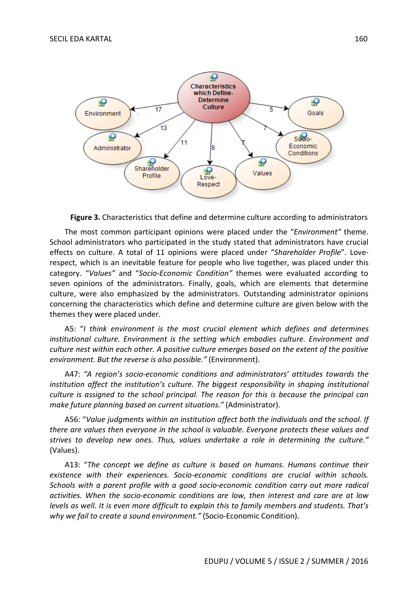

**Figure 3.** Characteristics that define and determine culture according to administrators

The most common participant opinions were placed under the "*Environment"* theme. School administrators who participated in the study stated that administrators have crucial effects on culture. A total of 11 opinions were placed under "*Shareholder Profile*". Loverespect, which is an inevitable feature for people who live together, was placed under this category. "*Values"* and "*Socio-Economic Condition"* themes were evaluated according to seven opinions of the administrators. Finally, goals, which are elements that determine culture, were also emphasized by the administrators. Outstanding administrator opinions concerning the characteristics which define and determine culture are given below with the themes they were placed under.

A5: "*I think environment is the most crucial element which defines and determines institutional culture. Environment is the setting which embodies culture. Environment and culture nest within each other. A positive culture emerges based on the extent of the positive environment. But the reverse is also possible."* (Environment).

A47: *"A region's socio-economic conditions and administrators' attitudes towards the institution affect the institution's culture. The biggest responsibility in shaping institutional culture is assigned to the school principal. The reason for this is because the principal can make future planning based on current situations."* (Administrator).

A56: "*Value judgments within an institution affect both the individuals and the school. If there are values then everyone in the school is valuable. Everyone protects these values and strives to develop new ones. Thus, values undertake a role in determining the culture."*  (Values).

A13: "*The concept we define as culture is based on humans. Humans continue their existence with their experiences. Socio-economic conditions are crucial within schools. Schools with a parent profile with a good socio-economic condition carry out more radical activities. When the socio-economic conditions are low, then interest and care are at low levels as well. It is even more difficult to explain this to family members and students. That's why we fail to create a sound environment."* (Socio-Economic Condition).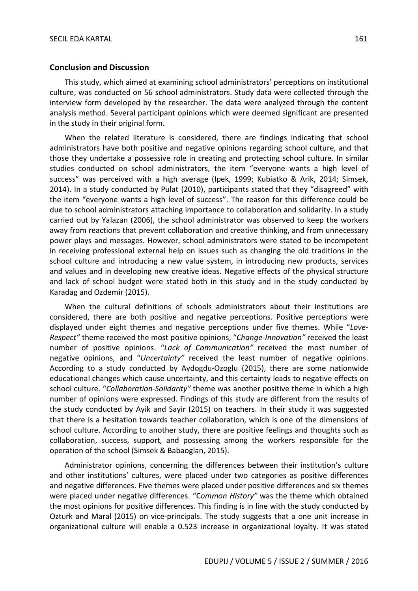#### **Conclusion and Discussion**

This study, which aimed at examining school administrators' perceptions on institutional culture, was conducted on 56 school administrators. Study data were collected through the interview form developed by the researcher. The data were analyzed through the content analysis method. Several participant opinions which were deemed significant are presented in the study in their original form.

When the related literature is considered, there are findings indicating that school administrators have both positive and negative opinions regarding school culture, and that those they undertake a possessive role in creating and protecting school culture. In similar studies conducted on school administrators, the item "everyone wants a high level of success" was perceived with a high average (Ipek, 1999; Kubiatko & Arik, 2014; Simsek, 2014). In a study conducted by Pulat (2010), participants stated that they "disagreed" with the item "everyone wants a high level of success". The reason for this difference could be due to school administrators attaching importance to collaboration and solidarity. In a study carried out by Yalazan (2006), the school administrator was observed to keep the workers away from reactions that prevent collaboration and creative thinking, and from unnecessary power plays and messages. However, school administrators were stated to be incompetent in receiving professional external help on issues such as changing the old traditions in the school culture and introducing a new value system, in introducing new products, services and values and in developing new creative ideas. Negative effects of the physical structure and lack of school budget were stated both in this study and in the study conducted by Karadag and Ozdemir (2015).

When the cultural definitions of schools administrators about their institutions are considered, there are both positive and negative perceptions. Positive perceptions were displayed under eight themes and negative perceptions under five themes. While "*Love-Respect"* theme received the most positive opinions, "*Change-Innovation"* received the least number of positive opinions. "*Lack of Communication"* received the most number of negative opinions, and "*Uncertainty"* received the least number of negative opinions. According to a study conducted by Aydogdu-Ozoglu (2015), there are some nationwide educational changes which cause uncertainty, and this certainty leads to negative effects on school culture. "*Collaboration-Solidarity"* theme was another positive theme in which a high number of opinions were expressed. Findings of this study are different from the results of the study conducted by Ayik and Sayir (2015) on teachers. In their study it was suggested that there is a hesitation towards teacher collaboration, which is one of the dimensions of school culture. According to another study, there are positive feelings and thoughts such as collaboration, success, support, and possessing among the workers responsible for the operation of the school (Simsek & Babaoglan, 2015).

Administrator opinions, concerning the differences between their institution's culture and other institutions' cultures, were placed under two categories as positive differences and negative differences. Five themes were placed under positive differences and six themes were placed under negative differences. "C*ommon History"* was the theme which obtained the most opinions for positive differences. This finding is in line with the study conducted by Ozturk and Maral (2015) on vice-principals. The study suggests that a one unit increase in organizational culture will enable a 0.523 increase in organizational loyalty. It was stated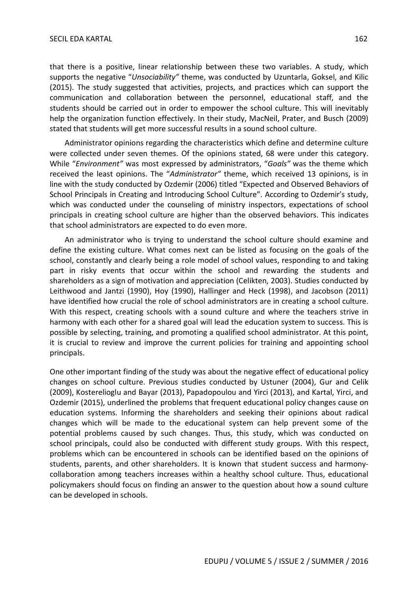that there is a positive, linear relationship between these two variables. A study, which supports the negative "*Unsociability"* theme, was conducted by Uzuntarla, Goksel, and Kilic (2015). The study suggested that activities, projects, and practices which can support the communication and collaboration between the personnel, educational staff, and the students should be carried out in order to empower the school culture. This will inevitably help the organization function effectively. In their study, MacNeil, Prater, and Busch (2009) stated that students will get more successful results in a sound school culture.

Administrator opinions regarding the characteristics which define and determine culture were collected under seven themes. Of the opinions stated, 68 were under this category. While "*Environment"* was most expressed by administrators, "*Goals"* was the theme which received the least opinions. The "*Administrator"* theme, which received 13 opinions, is in line with the study conducted by Ozdemir (2006) titled "Expected and Observed Behaviors of School Principals in Creating and Introducing School Culture". According to Ozdemir's study, which was conducted under the counseling of ministry inspectors, expectations of school principals in creating school culture are higher than the observed behaviors. This indicates that school administrators are expected to do even more.

An administrator who is trying to understand the school culture should examine and define the existing culture. What comes next can be listed as focusing on the goals of the school, constantly and clearly being a role model of school values, responding to and taking part in risky events that occur within the school and rewarding the students and shareholders as a sign of motivation and appreciation (Celikten, 2003). Studies conducted by Leithwood and Jantzi (1990), Hoy (1990), Hallinger and Heck (1998), and Jacobson (2011) have identified how crucial the role of school administrators are in creating a school culture. With this respect, creating schools with a sound culture and where the teachers strive in harmony with each other for a shared goal will lead the education system to success. This is possible by selecting, training, and promoting a qualified school administrator. At this point, it is crucial to review and improve the current policies for training and appointing school principals.

One other important finding of the study was about the negative effect of educational policy changes on school culture. Previous studies conducted by Ustuner (2004), Gur and Celik (2009), Kosterelioglu and Bayar (2013), Papadopoulou and Yirci (2013), and Kartal, Yirci, and Ozdemir (2015), underlined the problems that frequent educational policy changes cause on education systems. Informing the shareholders and seeking their opinions about radical changes which will be made to the educational system can help prevent some of the potential problems caused by such changes. Thus, this study, which was conducted on school principals, could also be conducted with different study groups. With this respect, problems which can be encountered in schools can be identified based on the opinions of students, parents, and other shareholders. It is known that student success and harmonycollaboration among teachers increases within a healthy school culture. Thus, educational policymakers should focus on finding an answer to the question about how a sound culture can be developed in schools.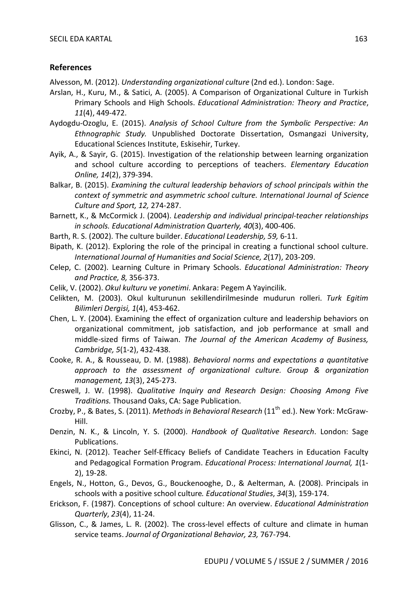# **References**

Alvesson, M. (2012). *Understanding organizational culture* (2nd ed.). London: Sage.

- Arslan, H., Kuru, M., & Satici, A. (2005). A Comparison of Organizational Culture in Turkish Primary Schools and High Schools. *Educational Administration: Theory and Practice*, *11*(4), 449-472.
- Aydogdu-Ozoglu, E. (2015). *Analysis of School Culture from the Symbolic Perspective: An Ethnographic Study.* Unpublished Doctorate Dissertation, Osmangazi University, Educational Sciences Institute, Eskisehir, Turkey.
- Ayik, A., & Sayir, G. (2015). Investigation of the relationship between learning organization and school culture according to perceptions of teachers. *Elementary Education Online, 14*(2), 379-394.
- Balkar, B. (2015). *Examining the cultural leadership behaviors of school principals within the context of symmetric and asymmetric school culture. International Journal of Science Culture and Sport, 12,* 274-287.
- Barnett, K., & McCormick J. (2004). *Leadership and individual principal-teacher relationships in schools. Educational Administration Quarterly, 40*(3), 400-406.
- Barth, R. S. (2002). The culture builder. *Educational Leadership, 59,* 6-11.
- Bipath, K. (2012). Exploring the role of the principal in creating a functional school culture. *International Journal of Humanities and Social Science, 2*(17), 203-209.
- Celep, C. (2002). Learning Culture in Primary Schools. *Educational Administration: Theory and Practice, 8,* 356-373.
- Celik, V. (2002). *Okul kulturu ve yonetimi*. Ankara: Pegem A Yayincilik.
- Celikten, M. (2003). Okul kulturunun sekillendirilmesinde mudurun rolleri. *Turk Egitim Bilimleri Dergisi, 1*(4), 453-462.
- Chen, L. Y. (2004). Examining the effect of organization culture and leadership behaviors on organizational commitment, job satisfaction, and job performance at small and middle-sized firms of Taiwan. *The Journal of the American Academy of Business, Cambridge, 5*(1-2), 432-438.
- Cooke, R. A., & Rousseau, D. M. (1988). *Behavioral norms and expectations a quantitative approach to the assessment of organizational culture. Group & organization management, 13*(3), 245-273.
- Creswell, J. W. (1998). *Qualitative Inquiry and Research Design: Choosing Among Five Traditions.* Thousand Oaks, CA: Sage Publication.
- Crozby, P., & Bates, S. (2011). *Methods in Behavioral Research* (11th ed.). New York: McGraw-Hill.
- Denzin, N. K., & Lincoln, Y. S. (2000). *Handbook of Qualitative Research*. London: Sage Publications.
- Ekinci, N. (2012). Teacher Self-Efficacy Beliefs of Candidate Teachers in Education Faculty and Pedagogical Formation Program. *Educational Process: International Journal, 1*(1- 2), 19-28.
- Engels, N., Hotton, G., Devos, G., Bouckenooghe, D., & Aelterman, A. (2008). Principals in schools with a positive school culture*. Educational Studies*, *34*(3), 159-174.
- Erickson, F. (1987). Conceptions of school culture: An overview. *Educational Administration Quarterly*, *23*(4), 11-24.
- Glisson, C., & James, L. R. (2002). The cross-level effects of culture and climate in human service teams. *Journal of Organizational Behavior, 23,* 767-794.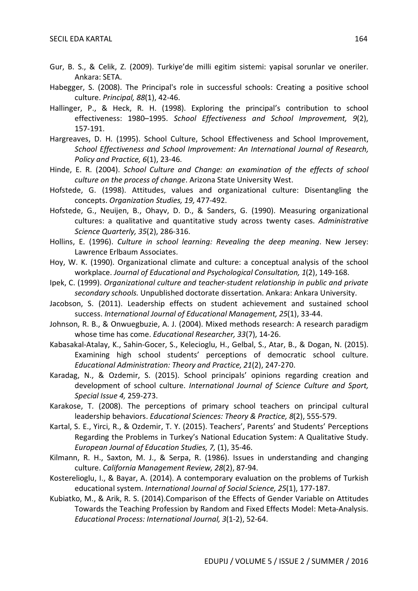- Gur, B. S., & Celik, Z. (2009). Turkiye'de milli egitim sistemi: yapisal sorunlar ve oneriler. Ankara: SETA.
- Habegger, S. (2008). The Principal's role in successful schools: Creating a positive school culture. *Principal, 88*(1), 42-46.
- Hallinger, P., & Heck, R. H. (1998). Exploring the principal's contribution to school effectiveness: 1980–1995. *School Effectiveness and School Improvement, 9*(2), 157-191.
- Hargreaves, D. H. (1995). School Culture, School Effectiveness and School Improvement, *School Effectiveness and School Improvement: An International Journal of Research, Policy and Practice, 6*(1), 23-46.
- Hinde, E. R. (2004). *School Culture and Change: an examination of the effects of school culture on the process of change*. Arizona State University West.
- Hofstede, G. (1998). Attitudes, values and organizational culture: Disentangling the concepts. *Organization Studies, 19,* 477-492.
- Hofstede, G., Neuijen, B., Ohayv, D. D., & Sanders, G. (1990). Measuring organizational cultures: a qualitative and quantitative study across twenty cases. *Administrative Science Quarterly, 35*(2), 286-316.
- Hollins, E. (1996). *Culture in school learning: Revealing the deep meaning*. New Jersey: Lawrence Erlbaum Associates.
- Hoy, W. K. (1990). Organizational climate and culture: a conceptual analysis of the school workplace. *Journal of Educational and Psychological Consultation, 1*(2), 149-168.
- Ipek, C. (1999). *Organizational culture and teacher-student relationship in public and private secondary schools.* Unpublished doctorate dissertation. Ankara: Ankara University.
- Jacobson, S. (2011). Leadership effects on student achievement and sustained school success. *International Journal of Educational Management, 25*(1), 33-44.
- Johnson, R. B., & Onwuegbuzie, A. J. (2004). Mixed methods research: A research paradigm whose time has come. *Educational Researcher, 33*(7), 14-26.
- Kabasakal-Atalay, K., Sahin-Gocer, S., Kelecioglu, H., Gelbal, S., Atar, B., & Dogan, N. (2015). Examining high school students' perceptions of democratic school culture. *Educational Administration: Theory and Practice, 21*(2), 247-270.
- Karadag, N., & Ozdemir, S. (2015). School principals' opinions regarding creation and development of school culture. *International Journal of Science Culture and Sport, Special Issue 4,* 259-273.
- Karakose, T. (2008). The perceptions of primary school teachers on principal cultural leadership behaviors. *Educational Sciences: Theory & Practice, 8*(2), 555-579.
- Kartal, S. E., Yirci, R., & Ozdemir, T. Y. (2015). Teachers', Parents' and Students' Perceptions Regarding the Problems in Turkey's National Education System: A Qualitative Study. *European Journal of Education Studies, 7,* (1), 35-46.
- Kilmann, R. H., Saxton, M. J., & Serpa, R. (1986). Issues in understanding and changing culture. *California Management Review, 28*(2), 87-94.
- Kosterelioglu, I., & Bayar, A. (2014). A contemporary evaluation on the problems of Turkish educational system. *International Journal of Social Science, 25*(1), 177-187.
- Kubiatko, M., & Arik, R. S. (2014).Comparison of the Effects of Gender Variable on Attitudes Towards the Teaching Profession by Random and Fixed Effects Model: Meta-Analysis. *Educational Process: International Journal, 3*(1-2), 52-64.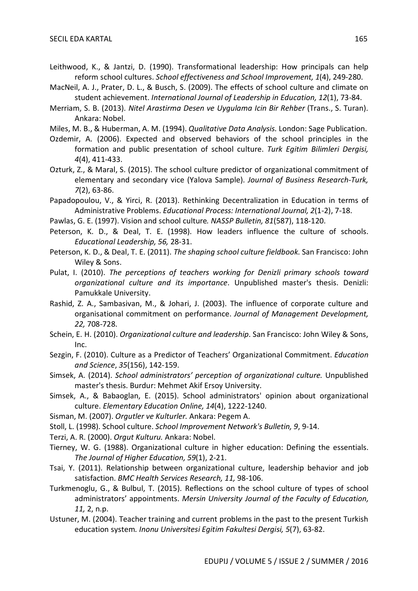- Leithwood, K., & Jantzi, D. (1990). Transformational leadership: How principals can help reform school cultures. *School effectiveness and School Improvement, 1*(4), 249-280.
- MacNeil, A. J., Prater, D. L., & Busch, S. (2009). The effects of school culture and climate on student achievement. *International Journal of Leadership in Education, 12*(1), 73-84.
- Merriam, S. B. (2013). *Nitel Arastirma Desen ve Uygulama Icin Bir Rehber* (Trans., S. Turan). Ankara: Nobel.
- Miles, M. B., & Huberman, A. M. (1994). *Qualitative Data Analysis*. London: Sage Publication.
- Ozdemir, A. (2006). Expected and observed behaviors of the school principles in the formation and public presentation of school culture. *Turk Egitim Bilimleri Dergisi, 4*(4), 411-433.
- Ozturk, Z., & Maral, S. (2015). The school culture predictor of organizational commitment of elementary and secondary vice (Yalova Sample). *Journal of Business Research-Turk, 7*(2), 63-86.
- Papadopoulou, V., & Yirci, R. (2013). Rethinking Decentralization in Education in terms of Administrative Problems. *Educational Process: International Journal, 2*(1-2), 7-18.
- Pawlas, G. E. (1997). Vision and school culture*. NASSP Bulletin, 81*(587), 118-120.
- Peterson, K. D., & Deal, T. E. (1998). How leaders influence the culture of schools. *Educational Leadership, 56,* 28-31.
- Peterson, K. D., & Deal, T. E. (2011). *The shaping school culture fieldbook*. San Francisco: John Wiley & Sons.
- Pulat, I. (2010). *The perceptions of teachers working for Denizli primary schools toward organizational culture and its importance*. Unpublished master's thesis. Denizli: Pamukkale University.
- Rashid, Z. A., Sambasivan, M., & Johari, J. (2003). The influence of corporate culture and organisational commitment on performance. *Journal of Management Development, 22,* 708-728.
- Schein, E. H. (2010). *Organizational culture and leadership*. San Francisco: John Wiley & Sons, Inc.
- Sezgin, F. (2010). Culture as a Predictor of Teachers' Organizational Commitment. *Education and Science*, *35*(156), 142-159.
- Simsek, A. (2014). *School administrators' perception of organizational culture.* Unpublished master's thesis. Burdur: Mehmet Akif Ersoy University.
- Simsek, A., & Babaoglan, E. (2015). School administrators' opinion about organizational culture. *Elementary Education Online, 14*(4), 1222-1240.
- Sisman, M. (2007). *Orgutler ve Kulturler.* Ankara: Pegem A.
- Stoll, L. (1998). School culture. *School Improvement Network's Bulletin, 9*, 9-14.
- Terzi, A. R. (2000). *Orgut Kulturu.* Ankara: Nobel.
- Tierney, W. G. (1988). Organizational culture in higher education: Defining the essentials. *The Journal of Higher Education, 59*(1), 2-21.
- Tsai, Y. (2011). Relationship between organizational culture, leadership behavior and job satisfaction. *BMC Health Services Research, 11,* 98-106.
- Turkmenoglu, G., & Bulbul, T. (2015). Reflections on the school culture of types of school administrators' appointments. *Mersin University Journal of the Faculty of Education, 11,* 2, n.p.
- Ustuner, M. (2004). Teacher training and current problems in the past to the present Turkish education system*. Inonu Universitesi Egitim Fakultesi Dergisi, 5*(7), 63-82.